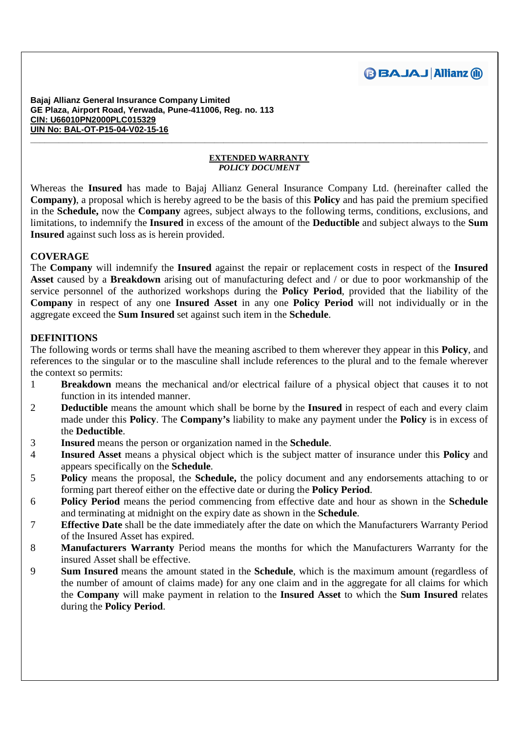

#### **EXTENDED WARRANTY**  *POLICY DOCUMENT*

**\_\_\_\_\_\_\_\_\_\_\_\_\_\_\_\_\_\_\_\_\_\_\_\_\_\_\_\_\_\_\_\_\_\_\_\_\_\_\_\_\_\_\_\_\_\_\_\_\_\_\_\_\_\_\_\_\_\_\_\_\_\_\_\_\_\_\_\_\_\_\_\_\_\_\_\_\_\_\_\_\_\_\_\_\_\_\_\_\_\_\_\_\_\_\_\_\_** 

Whereas the **Insured** has made to Bajaj Allianz General Insurance Company Ltd. (hereinafter called the **Company)**, a proposal which is hereby agreed to be the basis of this **Policy** and has paid the premium specified in the **Schedule,** now the **Company** agrees, subject always to the following terms, conditions, exclusions, and limitations, to indemnify the **Insured** in excess of the amount of the **Deductible** and subject always to the **Sum Insured** against such loss as is herein provided.

# **COVERAGE**

The **Company** will indemnify the **Insured** against the repair or replacement costs in respect of the **Insured Asset** caused by a **Breakdown** arising out of manufacturing defect and / or due to poor workmanship of the service personnel of the authorized workshops during the **Policy Period**, provided that the liability of the **Company** in respect of any one **Insured Asset** in any one **Policy Period** will not individually or in the aggregate exceed the **Sum Insured** set against such item in the **Schedule**.

# **DEFINITIONS**

The following words or terms shall have the meaning ascribed to them wherever they appear in this **Policy**, and references to the singular or to the masculine shall include references to the plural and to the female wherever the context so permits:

- 1 **Breakdown** means the mechanical and/or electrical failure of a physical object that causes it to not function in its intended manner.
- 2 **Deductible** means the amount which shall be borne by the **Insured** in respect of each and every claim made under this **Policy**. The **Company's** liability to make any payment under the **Policy** is in excess of the **Deductible**.
- 3 **Insured** means the person or organization named in the **Schedule**.
- 4 **Insured Asset** means a physical object which is the subject matter of insurance under this **Policy** and appears specifically on the **Schedule**.
- 5 **Policy** means the proposal, the **Schedule,** the policy document and any endorsements attaching to or forming part thereof either on the effective date or during the **Policy Period**.
- 6 **Policy Period** means the period commencing from effective date and hour as shown in the **Schedule** and terminating at midnight on the expiry date as shown in the **Schedule**.
- 7 **Effective Date** shall be the date immediately after the date on which the Manufacturers Warranty Period of the Insured Asset has expired.
- 8 **Manufacturers Warranty** Period means the months for which the Manufacturers Warranty for the insured Asset shall be effective.
- 9 **Sum Insured** means the amount stated in the **Schedule**, which is the maximum amount (regardless of the number of amount of claims made) for any one claim and in the aggregate for all claims for which the **Company** will make payment in relation to the **Insured Asset** to which the **Sum Insured** relates during the **Policy Period**.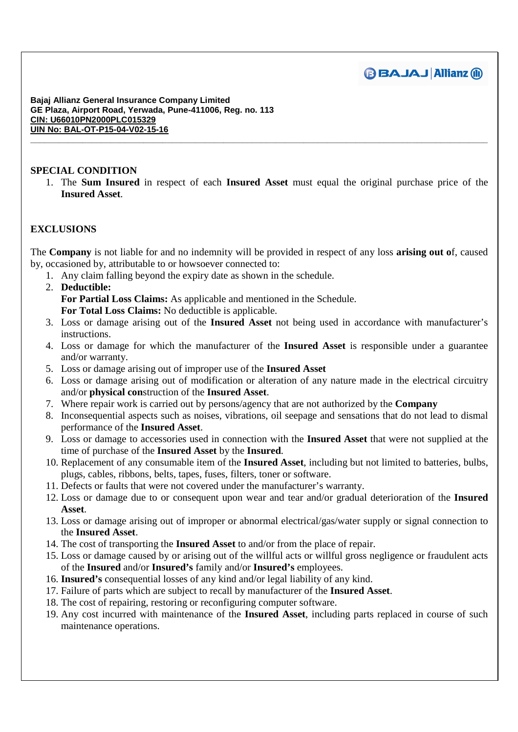

# **SPECIAL CONDITION**

1. The **Sum Insured** in respect of each **Insured Asset** must equal the original purchase price of the **Insured Asset**.

**\_\_\_\_\_\_\_\_\_\_\_\_\_\_\_\_\_\_\_\_\_\_\_\_\_\_\_\_\_\_\_\_\_\_\_\_\_\_\_\_\_\_\_\_\_\_\_\_\_\_\_\_\_\_\_\_\_\_\_\_\_\_\_\_\_\_\_\_\_\_\_\_\_\_\_\_\_\_\_\_\_\_\_\_\_\_\_\_\_\_\_\_\_\_\_\_\_** 

# **EXCLUSIONS**

The **Company** is not liable for and no indemnity will be provided in respect of any loss **arising out o**f, caused by, occasioned by, attributable to or howsoever connected to:

- 1. Any claim falling beyond the expiry date as shown in the schedule.
- 2. **Deductible: For Partial Loss Claims:** As applicable and mentioned in the Schedule. **For Total Loss Claims:** No deductible is applicable.
- 3. Loss or damage arising out of the **Insured Asset** not being used in accordance with manufacturer's instructions.
- 4. Loss or damage for which the manufacturer of the **Insured Asset** is responsible under a guarantee and/or warranty.
- 5. Loss or damage arising out of improper use of the **Insured Asset**
- 6. Loss or damage arising out of modification or alteration of any nature made in the electrical circuitry and/or **physical con**struction of the **Insured Asset**.
- 7. Where repair work is carried out by persons/agency that are not authorized by the **Company**
- 8. Inconsequential aspects such as noises, vibrations, oil seepage and sensations that do not lead to dismal performance of the **Insured Asset**.
- 9. Loss or damage to accessories used in connection with the **Insured Asset** that were not supplied at the time of purchase of the **Insured Asset** by the **Insured**.
- 10. Replacement of any consumable item of the **Insured Asset**, including but not limited to batteries, bulbs, plugs, cables, ribbons, belts, tapes, fuses, filters, toner or software.
- 11. Defects or faults that were not covered under the manufacturer's warranty.
- 12. Loss or damage due to or consequent upon wear and tear and/or gradual deterioration of the **Insured Asset**.
- 13. Loss or damage arising out of improper or abnormal electrical/gas/water supply or signal connection to the **Insured Asset**.
- 14. The cost of transporting the **Insured Asset** to and/or from the place of repair.
- 15. Loss or damage caused by or arising out of the willful acts or willful gross negligence or fraudulent acts of the **Insured** and/or **Insured's** family and/or **Insured's** employees.
- 16. **Insured's** consequential losses of any kind and/or legal liability of any kind.
- 17. Failure of parts which are subject to recall by manufacturer of the **Insured Asset**.
- 18. The cost of repairing, restoring or reconfiguring computer software.
- 19. Any cost incurred with maintenance of the **Insured Asset**, including parts replaced in course of such maintenance operations.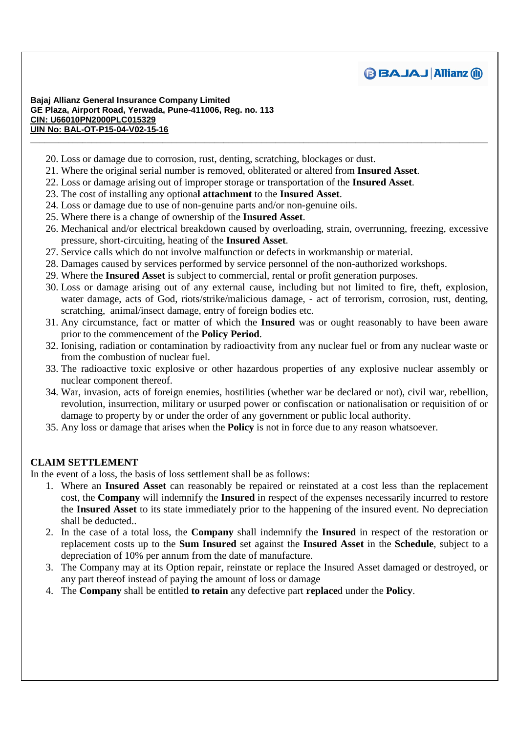

- 20. Loss or damage due to corrosion, rust, denting, scratching, blockages or dust.
- 21. Where the original serial number is removed, obliterated or altered from **Insured Asset**.
- 22. Loss or damage arising out of improper storage or transportation of the **Insured Asset**.
- 23. The cost of installing any optiona**l attachment** to the **Insured Asset**.
- 24. Loss or damage due to use of non-genuine parts and/or non-genuine oils.
- 25. Where there is a change of ownership of the **Insured Asset**.
- 26. Mechanical and/or electrical breakdown caused by overloading, strain, overrunning, freezing, excessive pressure, short-circuiting, heating of the **Insured Asset**.

**\_\_\_\_\_\_\_\_\_\_\_\_\_\_\_\_\_\_\_\_\_\_\_\_\_\_\_\_\_\_\_\_\_\_\_\_\_\_\_\_\_\_\_\_\_\_\_\_\_\_\_\_\_\_\_\_\_\_\_\_\_\_\_\_\_\_\_\_\_\_\_\_\_\_\_\_\_\_\_\_\_\_\_\_\_\_\_\_\_\_\_\_\_\_\_\_\_** 

- 27. Service calls which do not involve malfunction or defects in workmanship or material.
- 28. Damages caused by services performed by service personnel of the non-authorized workshops.
- 29. Where the **Insured Asset** is subject to commercial, rental or profit generation purposes.
- 30. Loss or damage arising out of any external cause, including but not limited to fire, theft, explosion, water damage, acts of God, riots/strike/malicious damage, - act of terrorism, corrosion, rust, denting, scratching, animal/insect damage, entry of foreign bodies etc.
- 31. Any circumstance, fact or matter of which the **Insured** was or ought reasonably to have been aware prior to the commencement of the **Policy Period**.
- 32. Ionising, radiation or contamination by radioactivity from any nuclear fuel or from any nuclear waste or from the combustion of nuclear fuel.
- 33. The radioactive toxic explosive or other hazardous properties of any explosive nuclear assembly or nuclear component thereof.
- 34. War, invasion, acts of foreign enemies, hostilities (whether war be declared or not), civil war, rebellion, revolution, insurrection, military or usurped power or confiscation or nationalisation or requisition of or damage to property by or under the order of any government or public local authority.
- 35. Any loss or damage that arises when the **Policy** is not in force due to any reason whatsoever.

# **CLAIM SETTLEMENT**

In the event of a loss, the basis of loss settlement shall be as follows:

- 1. Where an **Insured Asset** can reasonably be repaired or reinstated at a cost less than the replacement cost, the **Company** will indemnify the **Insured** in respect of the expenses necessarily incurred to restore the **Insured Asset** to its state immediately prior to the happening of the insured event. No depreciation shall be deducted..
- 2. In the case of a total loss, the **Company** shall indemnify the **Insured** in respect of the restoration or replacement costs up to the **Sum Insured** set against the **Insured Asset** in the **Schedule**, subject to a depreciation of 10% per annum from the date of manufacture.
- 3. The Company may at its Option repair, reinstate or replace the Insured Asset damaged or destroyed, or any part thereof instead of paying the amount of loss or damage
- 4. The **Company** shall be entitled **to retain** any defective part **replace**d under the **Policy**.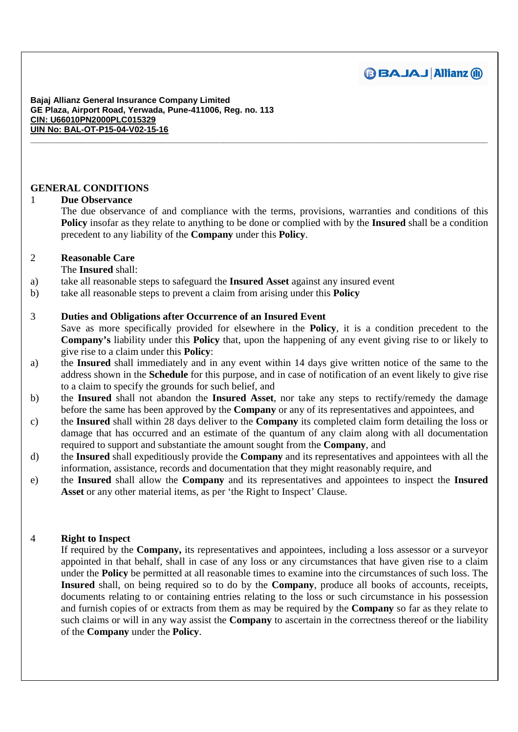

# **GENERAL CONDITIONS**

## 1 **Due Observance**

The due observance of and compliance with the terms, provisions, warranties and conditions of this **Policy** insofar as they relate to anything to be done or complied with by the **Insured** shall be a condition precedent to any liability of the **Company** under this **Policy**.

**\_\_\_\_\_\_\_\_\_\_\_\_\_\_\_\_\_\_\_\_\_\_\_\_\_\_\_\_\_\_\_\_\_\_\_\_\_\_\_\_\_\_\_\_\_\_\_\_\_\_\_\_\_\_\_\_\_\_\_\_\_\_\_\_\_\_\_\_\_\_\_\_\_\_\_\_\_\_\_\_\_\_\_\_\_\_\_\_\_\_\_\_\_\_\_\_\_** 

## 2 **Reasonable Care**

The **Insured** shall:

- a) take all reasonable steps to safeguard the **Insured Asset** against any insured event
- b) take all reasonable steps to prevent a claim from arising under this **Policy**

## 3 **Duties and Obligations after Occurrence of an Insured Event**

Save as more specifically provided for elsewhere in the **Policy**, it is a condition precedent to the **Company's** liability under this **Policy** that, upon the happening of any event giving rise to or likely to give rise to a claim under this **Policy**:

- a) the **Insured** shall immediately and in any event within 14 days give written notice of the same to the address shown in the **Schedule** for this purpose, and in case of notification of an event likely to give rise to a claim to specify the grounds for such belief, and
- b) the **Insured** shall not abandon the **Insured Asset**, nor take any steps to rectify/remedy the damage before the same has been approved by the **Company** or any of its representatives and appointees, and
- c) the **Insured** shall within 28 days deliver to the **Company** its completed claim form detailing the loss or damage that has occurred and an estimate of the quantum of any claim along with all documentation required to support and substantiate the amount sought from the **Company**, and
- d) the **Insured** shall expeditiously provide the **Company** and its representatives and appointees with all the information, assistance, records and documentation that they might reasonably require, and
- e) the **Insured** shall allow the **Company** and its representatives and appointees to inspect the **Insured Asset** or any other material items, as per 'the Right to Inspect' Clause.

# 4 **Right to Inspect**

If required by the **Company,** its representatives and appointees, including a loss assessor or a surveyor appointed in that behalf, shall in case of any loss or any circumstances that have given rise to a claim under the **Policy** be permitted at all reasonable times to examine into the circumstances of such loss. The **Insured** shall, on being required so to do by the **Company**, produce all books of accounts, receipts, documents relating to or containing entries relating to the loss or such circumstance in his possession and furnish copies of or extracts from them as may be required by the **Company** so far as they relate to such claims or will in any way assist the **Company** to ascertain in the correctness thereof or the liability of the **Company** under the **Policy**.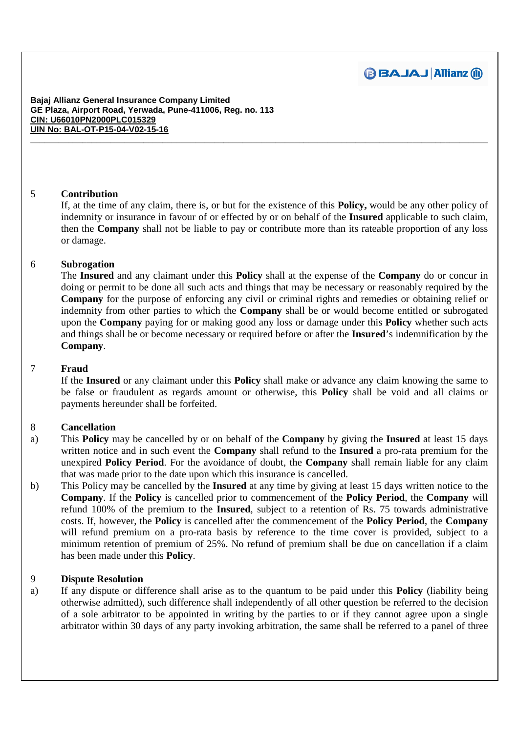

## 5 **Contribution**

If, at the time of any claim, there is, or but for the existence of this **Policy,** would be any other policy of indemnity or insurance in favour of or effected by or on behalf of the **Insured** applicable to such claim, then the **Company** shall not be liable to pay or contribute more than its rateable proportion of any loss or damage.

**\_\_\_\_\_\_\_\_\_\_\_\_\_\_\_\_\_\_\_\_\_\_\_\_\_\_\_\_\_\_\_\_\_\_\_\_\_\_\_\_\_\_\_\_\_\_\_\_\_\_\_\_\_\_\_\_\_\_\_\_\_\_\_\_\_\_\_\_\_\_\_\_\_\_\_\_\_\_\_\_\_\_\_\_\_\_\_\_\_\_\_\_\_\_\_\_\_** 

## 6 **Subrogation**

The **Insured** and any claimant under this **Policy** shall at the expense of the **Company** do or concur in doing or permit to be done all such acts and things that may be necessary or reasonably required by the **Company** for the purpose of enforcing any civil or criminal rights and remedies or obtaining relief or indemnity from other parties to which the **Company** shall be or would become entitled or subrogated upon the **Company** paying for or making good any loss or damage under this **Policy** whether such acts and things shall be or become necessary or required before or after the **Insured**'s indemnification by the **Company**.

#### 7 **Fraud**

If the **Insured** or any claimant under this **Policy** shall make or advance any claim knowing the same to be false or fraudulent as regards amount or otherwise, this **Policy** shall be void and all claims or payments hereunder shall be forfeited.

# 8 **Cancellation**

- a) This **Policy** may be cancelled by or on behalf of the **Company** by giving the **Insured** at least 15 days written notice and in such event the **Company** shall refund to the **Insured** a pro-rata premium for the unexpired **Policy Period**. For the avoidance of doubt, the **Company** shall remain liable for any claim that was made prior to the date upon which this insurance is cancelled.
- b) This Policy may be cancelled by the **Insured** at any time by giving at least 15 days written notice to the **Company**. If the **Policy** is cancelled prior to commencement of the **Policy Period**, the **Company** will refund 100% of the premium to the **Insured**, subject to a retention of Rs. 75 towards administrative costs. If, however, the **Policy** is cancelled after the commencement of the **Policy Period**, the **Company** will refund premium on a pro-rata basis by reference to the time cover is provided, subject to a minimum retention of premium of 25%. No refund of premium shall be due on cancellation if a claim has been made under this **Policy**.

#### 9 **Dispute Resolution**

a) If any dispute or difference shall arise as to the quantum to be paid under this **Policy** (liability being otherwise admitted), such difference shall independently of all other question be referred to the decision of a sole arbitrator to be appointed in writing by the parties to or if they cannot agree upon a single arbitrator within 30 days of any party invoking arbitration, the same shall be referred to a panel of three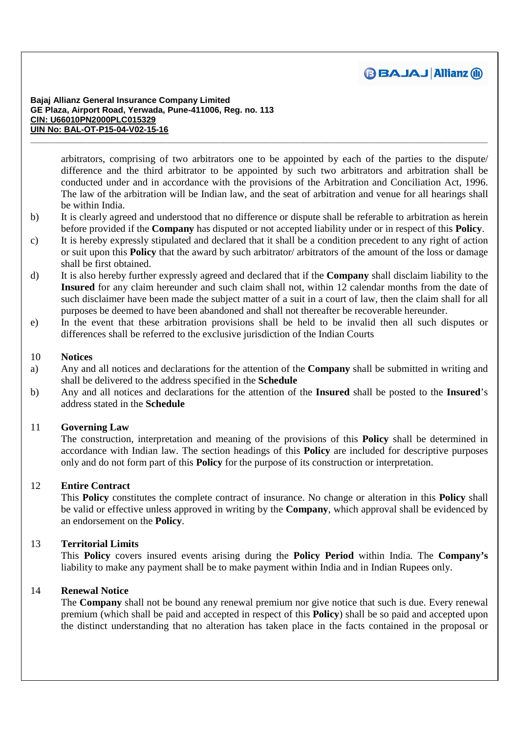

arbitrators, comprising of two arbitrators one to be appointed by each of the parties to the dispute/ difference and the third arbitrator to be appointed by such two arbitrators and arbitration shall be conducted under and in accordance with the provisions of the Arbitration and Conciliation Act, 1996. The law of the arbitration will be Indian law, and the seat of arbitration and venue for all hearings shall be within India.

b) It is clearly agreed and understood that no difference or dispute shall be referable to arbitration as herein before provided if the **Company** has disputed or not accepted liability under or in respect of this **Policy**.

**\_\_\_\_\_\_\_\_\_\_\_\_\_\_\_\_\_\_\_\_\_\_\_\_\_\_\_\_\_\_\_\_\_\_\_\_\_\_\_\_\_\_\_\_\_\_\_\_\_\_\_\_\_\_\_\_\_\_\_\_\_\_\_\_\_\_\_\_\_\_\_\_\_\_\_\_\_\_\_\_\_\_\_\_\_\_\_\_\_\_\_\_\_\_\_\_\_** 

- c) It is hereby expressly stipulated and declared that it shall be a condition precedent to any right of action or suit upon this **Policy** that the award by such arbitrator/ arbitrators of the amount of the loss or damage shall be first obtained.
- d) It is also hereby further expressly agreed and declared that if the **Company** shall disclaim liability to the **Insured** for any claim hereunder and such claim shall not, within 12 calendar months from the date of such disclaimer have been made the subject matter of a suit in a court of law, then the claim shall for all purposes be deemed to have been abandoned and shall not thereafter be recoverable hereunder.
- e) In the event that these arbitration provisions shall be held to be invalid then all such disputes or differences shall be referred to the exclusive jurisdiction of the Indian Courts

## 10 **Notices**

- a) Any and all notices and declarations for the attention of the **Company** shall be submitted in writing and shall be delivered to the address specified in the **Schedule**
- b) Any and all notices and declarations for the attention of the **Insured** shall be posted to the **Insured**'s address stated in the **Schedule**

# 11 **Governing Law**

The construction, interpretation and meaning of the provisions of this **Policy** shall be determined in accordance with Indian law. The section headings of this **Policy** are included for descriptive purposes only and do not form part of this **Policy** for the purpose of its construction or interpretation.

# 12 **Entire Contract**

This **Policy** constitutes the complete contract of insurance. No change or alteration in this **Policy** shall be valid or effective unless approved in writing by the **Company**, which approval shall be evidenced by an endorsement on the **Policy**.

# 13 **Territorial Limits**

This **Policy** covers insured events arising during the **Policy Period** within India. The **Company's**  liability to make any payment shall be to make payment within India and in Indian Rupees only.

#### 14 **Renewal Notice**

The **Company** shall not be bound any renewal premium nor give notice that such is due. Every renewal premium (which shall be paid and accepted in respect of this **Policy**) shall be so paid and accepted upon the distinct understanding that no alteration has taken place in the facts contained in the proposal or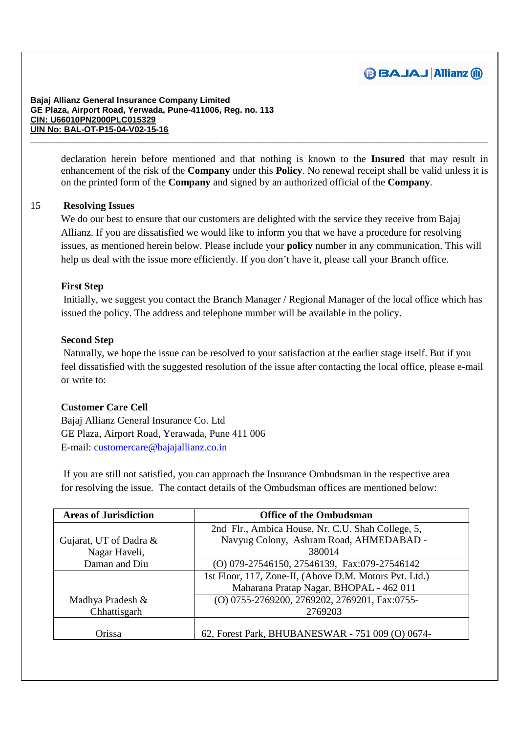

> declaration herein before mentioned and that nothing is known to the **Insured** that may result in enhancement of the risk of the **Company** under this **Policy**. No renewal receipt shall be valid unless it is on the printed form of the **Company** and signed by an authorized official of the **Company**.

**\_\_\_\_\_\_\_\_\_\_\_\_\_\_\_\_\_\_\_\_\_\_\_\_\_\_\_\_\_\_\_\_\_\_\_\_\_\_\_\_\_\_\_\_\_\_\_\_\_\_\_\_\_\_\_\_\_\_\_\_\_\_\_\_\_\_\_\_\_\_\_\_\_\_\_\_\_\_\_\_\_\_\_\_\_\_\_\_\_\_\_\_\_\_\_\_\_** 

# 15 **Resolving Issues**

We do our best to ensure that our customers are delighted with the service they receive from Bajaj Allianz. If you are dissatisfied we would like to inform you that we have a procedure for resolving issues, as mentioned herein below. Please include your **policy** number in any communication. This will help us deal with the issue more efficiently. If you don't have it, please call your Branch office.

#### **First Step**

 Initially, we suggest you contact the Branch Manager / Regional Manager of the local office which has issued the policy. The address and telephone number will be available in the policy.

#### **Second Step**

 Naturally, we hope the issue can be resolved to your satisfaction at the earlier stage itself. But if you feel dissatisfied with the suggested resolution of the issue after contacting the local office, please e-mail or write to:

#### **Customer Care Cell**

Bajaj Allianz General Insurance Co. Ltd GE Plaza, Airport Road, Yerawada, Pune 411 006 E-mail: customercare@bajajallianz.co.in

 If you are still not satisfied, you can approach the Insurance Ombudsman in the respective area for resolving the issue. The contact details of the Ombudsman offices are mentioned below:

| <b>Areas of Jurisdiction</b> | <b>Office of the Ombudsman</b>                         |
|------------------------------|--------------------------------------------------------|
|                              | 2nd Flr., Ambica House, Nr. C.U. Shah College, 5,      |
| Gujarat, UT of Dadra &       | Navyug Colony, Ashram Road, AHMEDABAD -                |
| Nagar Haveli,                | 380014                                                 |
| Daman and Diu                | (O) 079-27546150, 27546139, Fax:079-27546142           |
|                              | 1st Floor, 117, Zone-II, (Above D.M. Motors Pvt. Ltd.) |
|                              | Maharana Pratap Nagar, BHOPAL - 462 011                |
| Madhya Pradesh &             | (O) 0755-2769200, 2769202, 2769201, Fax:0755-          |
| Chhattisgarh                 | 2769203                                                |
|                              |                                                        |
| Orissa                       | 62, Forest Park, BHUBANESWAR - 751 009 (O) 0674-       |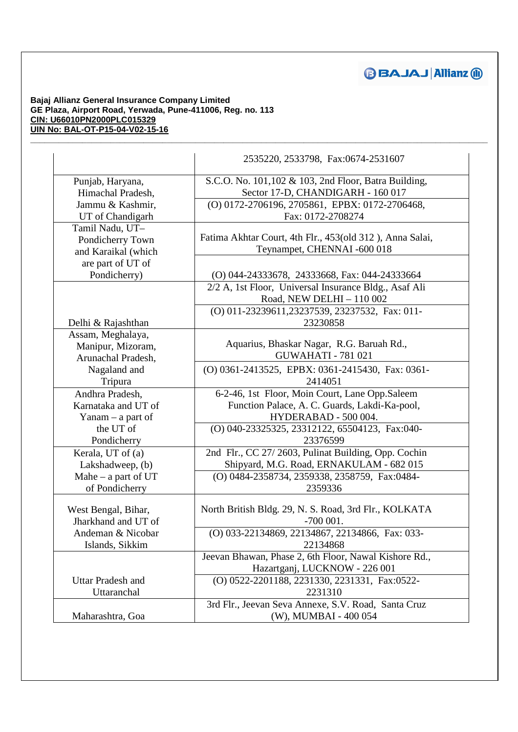# **BBAJAJ Allianz @**

#### **Bajaj Allianz General Insurance Company Limited GE Plaza, Airport Road, Yerwada, Pune-411006, Reg. no. 113 CIN: U66010PN2000PLC015329 UIN No: BAL-OT-P15-04-V02-15-16**

|                          | 2535220, 2533798, Fax:0674-2531607                       |
|--------------------------|----------------------------------------------------------|
| Punjab, Haryana,         | S.C.O. No. 101,102 & 103, 2nd Floor, Batra Building,     |
| Himachal Pradesh,        | Sector 17-D, CHANDIGARH - 160 017                        |
| Jammu & Kashmir,         | (O) 0172-2706196, 2705861, EPBX: 0172-2706468,           |
| UT of Chandigarh         | Fax: 0172-2708274                                        |
| Tamil Nadu, UT-          |                                                          |
| Pondicherry Town         | Fatima Akhtar Court, 4th Flr., 453(old 312), Anna Salai, |
| and Karaikal (which      | Teynampet, CHENNAI -600 018                              |
| are part of UT of        |                                                          |
| Pondicherry)             | (O) 044-24333678, 24333668, Fax: 044-24333664            |
|                          | 2/2 A, 1st Floor, Universal Insurance Bldg., Asaf Ali    |
|                          | Road, NEW DELHI - 110 002                                |
|                          | (O) 011-23239611,23237539, 23237532, Fax: 011-           |
| Delhi & Rajashthan       | 23230858                                                 |
| Assam, Meghalaya,        |                                                          |
| Manipur, Mizoram,        | Aquarius, Bhaskar Nagar, R.G. Baruah Rd.,                |
| Arunachal Pradesh,       | <b>GUWAHATI - 781 021</b>                                |
| Nagaland and             | (O) 0361-2413525, EPBX: 0361-2415430, Fax: 0361-         |
| Tripura                  | 2414051                                                  |
| Andhra Pradesh,          | 6-2-46, 1st Floor, Moin Court, Lane Opp.Saleem           |
| Karnataka and UT of      | Function Palace, A. C. Guards, Lakdi-Ka-pool,            |
| $Yanam - a$ part of      | HYDERABAD - 500 004.                                     |
| the UT of                | (O) 040-23325325, 23312122, 65504123, Fax:040-           |
| Pondicherry              | 23376599                                                 |
| Kerala, UT of (a)        | 2nd Flr., CC 27/2603, Pulinat Building, Opp. Cochin      |
| Lakshadweep, (b)         | Shipyard, M.G. Road, ERNAKULAM - 682 015                 |
| Mahe $-$ a part of UT    | (O) 0484-2358734, 2359338, 2358759, Fax:0484-            |
| of Pondicherry           | 2359336                                                  |
|                          |                                                          |
| West Bengal, Bihar,      | North British Bldg. 29, N. S. Road, 3rd Flr., KOLKATA    |
| Jharkhand and UT of      | $-700001$ .                                              |
| Andeman & Nicobar        | (O) 033-22134869, 22134867, 22134866, Fax: 033-          |
| Islands, Sikkim          | 22134868                                                 |
|                          | Jeevan Bhawan, Phase 2, 6th Floor, Nawal Kishore Rd.,    |
|                          | Hazartganj, LUCKNOW - 226 001                            |
| <b>Uttar Pradesh and</b> | (O) 0522-2201188, 2231330, 2231331, Fax:0522-            |
| Uttaranchal              | 2231310                                                  |
|                          | 3rd Flr., Jeevan Seva Annexe, S.V. Road, Santa Cruz      |
| Maharashtra, Goa         | (W), MUMBAI - 400 054                                    |

**\_\_\_\_\_\_\_\_\_\_\_\_\_\_\_\_\_\_\_\_\_\_\_\_\_\_\_\_\_\_\_\_\_\_\_\_\_\_\_\_\_\_\_\_\_\_\_\_\_\_\_\_\_\_\_\_\_\_\_\_\_\_\_\_\_\_\_\_\_\_\_\_\_\_\_\_\_\_\_\_\_\_\_\_\_\_\_\_\_\_\_\_\_\_\_\_\_**